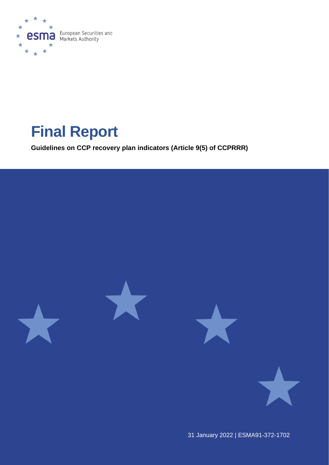

# **Final Report**

**Guidelines on CCP recovery plan indicators (Article 9(5) of CCPRRR)**



31 January 2022 | ESMA91-372-1702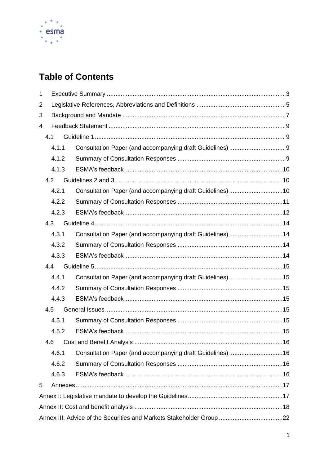

# **Table of Contents**

| 1 |     |       |                                                                      |  |
|---|-----|-------|----------------------------------------------------------------------|--|
| 2 |     |       |                                                                      |  |
| 3 |     |       |                                                                      |  |
| 4 |     |       |                                                                      |  |
|   | 4.1 |       |                                                                      |  |
|   |     | 4.1.1 |                                                                      |  |
|   |     | 4.1.2 |                                                                      |  |
|   |     | 4.1.3 |                                                                      |  |
|   | 4.2 |       |                                                                      |  |
|   |     | 4.2.1 | Consultation Paper (and accompanying draft Guidelines) 10            |  |
|   |     | 4.2.2 |                                                                      |  |
|   |     | 4.2.3 |                                                                      |  |
|   | 4.3 |       |                                                                      |  |
|   |     | 4.3.1 | Consultation Paper (and accompanying draft Guidelines) 14            |  |
|   |     | 4.3.2 |                                                                      |  |
|   |     | 4.3.3 |                                                                      |  |
|   | 4.4 |       |                                                                      |  |
|   |     | 4.4.1 | Consultation Paper (and accompanying draft Guidelines) 15            |  |
|   |     | 4.4.2 |                                                                      |  |
|   |     | 4.4.3 |                                                                      |  |
|   | 4.5 |       |                                                                      |  |
|   |     | 4.5.1 |                                                                      |  |
|   |     | 4.5.2 |                                                                      |  |
|   | 4.6 |       |                                                                      |  |
|   |     | 4.6.1 | Consultation Paper (and accompanying draft Guidelines) 16            |  |
|   |     | 4.6.2 |                                                                      |  |
|   |     | 4.6.3 |                                                                      |  |
| 5 |     |       |                                                                      |  |
|   |     |       |                                                                      |  |
|   |     |       |                                                                      |  |
|   |     |       | Annex III: Advice of the Securities and Markets Stakeholder Group 22 |  |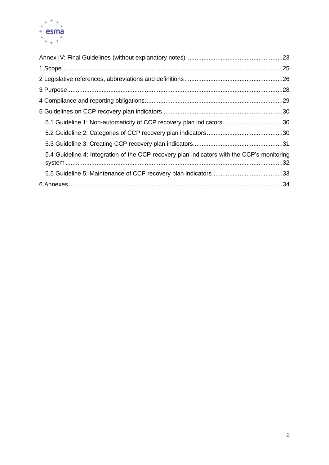

| 5.1 Guideline 1: Non-automaticity of CCP recovery plan indicators30                        |  |
|--------------------------------------------------------------------------------------------|--|
|                                                                                            |  |
|                                                                                            |  |
| 5.4 Guideline 4: Integration of the CCP recovery plan indicators with the CCP's monitoring |  |
|                                                                                            |  |
|                                                                                            |  |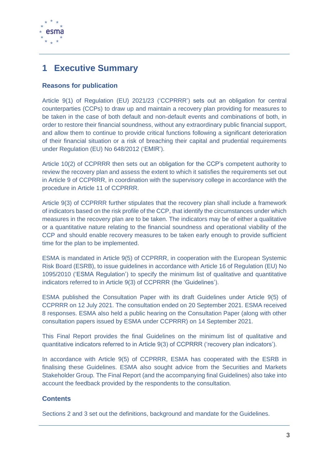

# <span id="page-3-0"></span>**1 Executive Summary**

### **Reasons for publication**

Article 9(1) of Regulation (EU) 2021/23 ('CCPRRR') sets out an obligation for central counterparties (CCPs) to draw up and maintain a recovery plan providing for measures to be taken in the case of both default and non-default events and combinations of both, in order to restore their financial soundness, without any extraordinary public financial support, and allow them to continue to provide critical functions following a significant deterioration of their financial situation or a risk of breaching their capital and prudential requirements under Regulation (EU) No 648/2012 ('EMIR').

Article 10(2) of CCPRRR then sets out an obligation for the CCP's competent authority to review the recovery plan and assess the extent to which it satisfies the requirements set out in Article 9 of CCPRRR, in coordination with the supervisory college in accordance with the procedure in Article 11 of CCPRRR.

Article 9(3) of CCPRRR further stipulates that the recovery plan shall include a framework of indicators based on the risk profile of the CCP, that identify the circumstances under which measures in the recovery plan are to be taken. The indicators may be of either a qualitative or a quantitative nature relating to the financial soundness and operational viability of the CCP and should enable recovery measures to be taken early enough to provide sufficient time for the plan to be implemented.

ESMA is mandated in Article 9(5) of CCPRRR, in cooperation with the European Systemic Risk Board (ESRB), to issue guidelines in accordance with Article 16 of Regulation (EU) No 1095/2010 ('ESMA Regulation') to specify the minimum list of qualitative and quantitative indicators referred to in Article 9(3) of CCPRRR (the 'Guidelines').

ESMA published the Consultation Paper with its draft Guidelines under Article 9(5) of CCPRRR on 12 July 2021. The consultation ended on 20 September 2021. ESMA received 8 responses. ESMA also held a public hearing on the Consultation Paper (along with other consultation papers issued by ESMA under CCPRRR) on 14 September 2021.

This Final Report provides the final Guidelines on the minimum list of qualitative and quantitative indicators referred to in Article 9(3) of CCPRRR ('recovery plan indicators').

In accordance with Article 9(5) of CCPRRR, ESMA has cooperated with the ESRB in finalising these Guidelines. ESMA also sought advice from the Securities and Markets Stakeholder Group. The Final Report (and the accompanying final Guidelines) also take into account the feedback provided by the respondents to the consultation.

### **Contents**

Sections 2 and 3 set out the definitions, background and mandate for the Guidelines.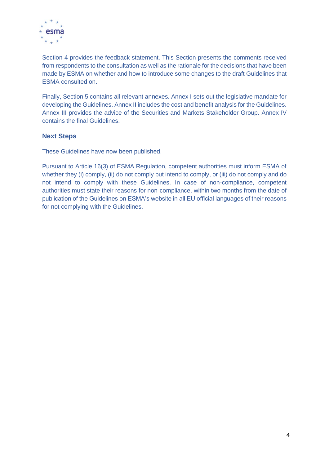

Section 4 provides the feedback statement. This Section presents the comments received from respondents to the consultation as well as the rationale for the decisions that have been made by ESMA on whether and how to introduce some changes to the draft Guidelines that ESMA consulted on.

Finally, Section 5 contains all relevant annexes. Annex I sets out the legislative mandate for developing the Guidelines. Annex II includes the cost and benefit analysis for the Guidelines. Annex III provides the advice of the Securities and Markets Stakeholder Group. Annex IV contains the final Guidelines.

### **Next Steps**

These Guidelines have now been published.

Pursuant to Article 16(3) of ESMA Regulation, competent authorities must inform ESMA of whether they (i) comply, (ii) do not comply but intend to comply, or (iii) do not comply and do not intend to comply with these Guidelines. In case of non-compliance, competent authorities must state their reasons for non-compliance, within two months from the date of publication of the Guidelines on ESMA's website in all EU official languages of their reasons for not complying with the Guidelines.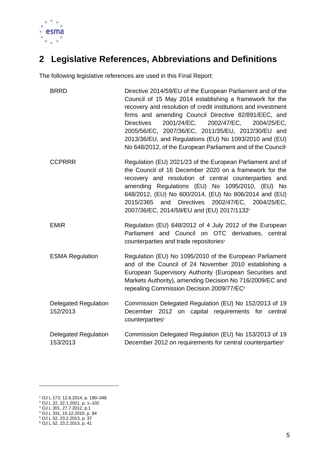

# <span id="page-5-0"></span>**2 Legislative References, Abbreviations and Definitions**

The following legislative references are used in this Final Report:

| <b>BRRD</b>                             | Directive 2014/59/EU of the European Parliament and of the<br>Council of 15 May 2014 establishing a framework for the<br>recovery and resolution of credit institutions and investment<br>firms and amending Council Directive 82/891/EEC, and<br>2001/24/EC,<br>2002/47/EC,<br><b>Directives</b><br>2004/25/EC,<br>2005/56/EC, 2007/36/EC, 2011/35/EU, 2012/30/EU and<br>2013/36/EU, and Regulations (EU) No 1093/2010 and (EU)<br>No 648/2012, of the European Parliament and of the Council <sup>1</sup> |
|-----------------------------------------|-------------------------------------------------------------------------------------------------------------------------------------------------------------------------------------------------------------------------------------------------------------------------------------------------------------------------------------------------------------------------------------------------------------------------------------------------------------------------------------------------------------|
| <b>CCPRRR</b>                           | Regulation (EU) 2021/23 of the European Parliament and of<br>the Council of 16 December 2020 on a framework for the<br>recovery and resolution of central counterparties and<br>amending Regulations (EU) No 1095/2010, (EU) No<br>648/2012, (EU) No 600/2014, (EU) No 806/2014 and (EU)<br>2015/2365 and Directives 2002/47/EC, 2004/25/EC,<br>2007/36/EC, 2014/59/EU and (EU) 2017/1132 <sup>2</sup>                                                                                                      |
| <b>EMIR</b>                             | Regulation (EU) 648/2012 of 4 July 2012 of the European<br>Parliament and Council on OTC derivatives, central<br>counterparties and trade repositories <sup>3</sup>                                                                                                                                                                                                                                                                                                                                         |
| <b>ESMA Regulation</b>                  | Regulation (EU) No 1095/2010 of the European Parliament<br>and of the Council of 24 November 2010 establishing a<br>European Supervisory Authority (European Securities and<br>Markets Authority), amending Decision No 716/2009/EC and<br>repealing Commission Decision 2009/77/EC <sup>4</sup>                                                                                                                                                                                                            |
| <b>Delegated Regulation</b><br>152/2013 | Commission Delegated Regulation (EU) No 152/2013 of 19<br>December 2012 on capital requirements for central<br>counterparties <sup>5</sup>                                                                                                                                                                                                                                                                                                                                                                  |
| <b>Delegated Regulation</b><br>153/2013 | Commission Delegated Regulation (EU) No 153/2013 of 19<br>December 2012 on requirements for central counterparties <sup>6</sup>                                                                                                                                                                                                                                                                                                                                                                             |

<sup>1</sup> OJ L 173, 12.6.2014, p. 190–348

<sup>2</sup> OJ L 22, 22.1.2021, p. 1–102

<sup>3</sup> OJ L 201, 27.7.2012, p.1

<sup>4</sup> OJ L 331, 15.12.2010, p. 84 <sup>5</sup> OJ L 52, 23.2.2013, p. 37

<sup>6</sup> OJ L 52, 23.2.2013, p. 41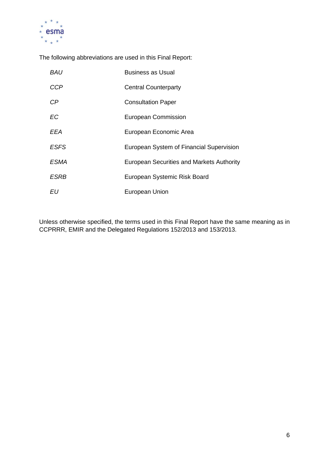

The following abbreviations are used in this Final Report:

| <i>BAU</i>  | Business as Usual                         |
|-------------|-------------------------------------------|
| <b>CCP</b>  | <b>Central Counterparty</b>               |
| СP          | <b>Consultation Paper</b>                 |
| <b>EC</b>   | European Commission                       |
| EEA         | European Economic Area                    |
| <b>ESFS</b> | European System of Financial Supervision  |
| ESMA        | European Securities and Markets Authority |
| ESRB        | European Systemic Risk Board              |
| EU          | <b>European Union</b>                     |

Unless otherwise specified, the terms used in this Final Report have the same meaning as in CCPRRR, EMIR and the Delegated Regulations 152/2013 and 153/2013.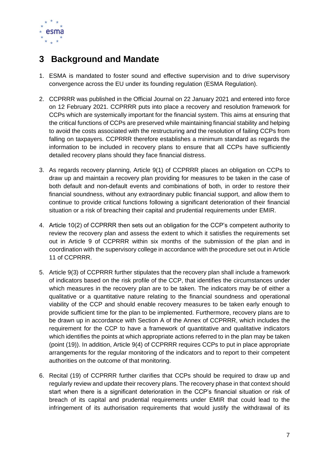

## <span id="page-7-0"></span>**3 Background and Mandate**

- 1. ESMA is mandated to foster sound and effective supervision and to drive supervisory convergence across the EU under its founding regulation (ESMA Regulation).
- 2. CCPRRR was published in the Official Journal on 22 January 2021 and entered into force on 12 February 2021. CCPRRR puts into place a recovery and resolution framework for CCPs which are systemically important for the financial system. This aims at ensuring that the critical functions of CCPs are preserved while maintaining financial stability and helping to avoid the costs associated with the restructuring and the resolution of failing CCPs from falling on taxpayers. CCPRRR therefore establishes a minimum standard as regards the information to be included in recovery plans to ensure that all CCPs have sufficiently detailed recovery plans should they face financial distress.
- 3. As regards recovery planning, Article 9(1) of CCPRRR places an obligation on CCPs to draw up and maintain a recovery plan providing for measures to be taken in the case of both default and non-default events and combinations of both, in order to restore their financial soundness, without any extraordinary public financial support, and allow them to continue to provide critical functions following a significant deterioration of their financial situation or a risk of breaching their capital and prudential requirements under EMIR.
- 4. Article 10(2) of CCPRRR then sets out an obligation for the CCP's competent authority to review the recovery plan and assess the extent to which it satisfies the requirements set out in Article 9 of CCPRRR within six months of the submission of the plan and in coordination with the supervisory college in accordance with the procedure set out in Article 11 of CCPRRR.
- 5. Article 9(3) of CCPRRR further stipulates that the recovery plan shall include a framework of indicators based on the risk profile of the CCP, that identifies the circumstances under which measures in the recovery plan are to be taken. The indicators may be of either a qualitative or a quantitative nature relating to the financial soundness and operational viability of the CCP and should enable recovery measures to be taken early enough to provide sufficient time for the plan to be implemented. Furthermore, recovery plans are to be drawn up in accordance with Section A of the Annex of CCPRRR, which includes the requirement for the CCP to have a framework of quantitative and qualitative indicators which identifies the points at which appropriate actions referred to in the plan may be taken (point (19)). In addition, Article 9(4) of CCPRRR requires CCPs to put in place appropriate arrangements for the regular monitoring of the indicators and to report to their competent authorities on the outcome of that monitoring.
- 6. Recital (19) of CCPRRR further clarifies that CCPs should be required to draw up and regularly review and update their recovery plans. The recovery phase in that context should start when there is a significant deterioration in the CCP's financial situation or risk of breach of its capital and prudential requirements under EMIR that could lead to the infringement of its authorisation requirements that would justify the withdrawal of its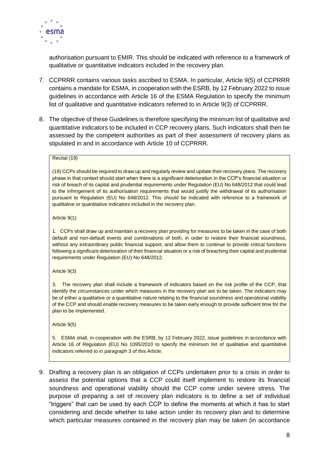

authorisation pursuant to EMIR. This should be indicated with reference to a framework of qualitative or quantitative indicators included in the recovery plan.

- 7. CCPRRR contains various tasks ascribed to ESMA. In particular, Article 9(5) of CCPRRR contains a mandate for ESMA, in cooperation with the ESRB, by 12 February 2022 to issue guidelines in accordance with Article 16 of the ESMA Regulation to specify the minimum list of qualitative and quantitative indicators referred to in Article 9(3) of CCPRRR.
- 8. The objective of these Guidelines is therefore specifying the minimum list of qualitative and quantitative indicators to be included in CCP recovery plans. Such indicators shall then be assessed by the competent authorities as part of their assessment of recovery plans as stipulated in and in accordance with Article 10 of CCPRRR.

#### Recital (19)

(19) CCPs should be required to draw up and regularly review and update their recovery plans. The recovery phase in that context should start when there is a significant deterioration in the CCP's financial situation or risk of breach of its capital and prudential requirements under Regulation (EU) No 648/2012 that could lead to the infringement of its authorisation requirements that would justify the withdrawal of its authorisation pursuant to Regulation (EU) No 648/2012. This should be indicated with reference to a framework of qualitative or quantitative indicators included in the recovery plan.

Article 9(1)

1. CCPs shall draw up and maintain a recovery plan providing for measures to be taken in the case of both default and non-default events and combinations of both, in order to restore their financial soundness, without any extraordinary public financial support, and allow them to continue to provide critical functions following a significant deterioration of their financial situation or a risk of breaching their capital and prudential requirements under Regulation (EU) No 648/2012.

#### Article 9(3)

3. The recovery plan shall include a framework of indicators based on the risk profile of the CCP, that identify the circumstances under which measures in the recovery plan are to be taken. The indicators may be of either a qualitative or a quantitative nature relating to the financial soundness and operational viability of the CCP and should enable recovery measures to be taken early enough to provide sufficient time for the plan to be implemented.

Article 9(5)

5. ESMA shall, in cooperation with the ESRB, by 12 February 2022, issue guidelines in accordance with Article 16 of Regulation (EU) No 1095/2010 to specify the minimum list of qualitative and quantitative indicators referred to in paragraph 3 of this Article.

9. Drafting a recovery plan is an obligation of CCPs undertaken prior to a crisis in order to assess the potential options that a CCP could itself implement to restore its financial soundness and operational viability should the CCP come under severe stress. The purpose of preparing a set of recovery plan indicators is to define a set of individual "triggers" that can be used by each CCP to define the moments at which it has to start considering and decide whether to take action under its recovery plan and to determine which particular measures contained in the recovery plan may be taken (in accordance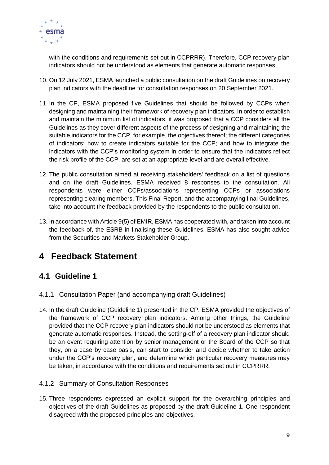

with the conditions and requirements set out in CCPRRR). Therefore, CCP recovery plan indicators should not be understood as elements that generate automatic responses.

- 10. On 12 July 2021, ESMA launched a public consultation on the draft Guidelines on recovery plan indicators with the deadline for consultation responses on 20 September 2021.
- 11. In the CP, ESMA proposed five Guidelines that should be followed by CCPs when designing and maintaining their framework of recovery plan indicators. In order to establish and maintain the minimum list of indicators, it was proposed that a CCP considers all the Guidelines as they cover different aspects of the process of designing and maintaining the suitable indicators for the CCP, for example, the objectives thereof; the different categories of indicators; how to create indicators suitable for the CCP; and how to integrate the indicators with the CCP's monitoring system in order to ensure that the indicators reflect the risk profile of the CCP, are set at an appropriate level and are overall effective.
- 12. The public consultation aimed at receiving stakeholders' feedback on a list of questions and on the draft Guidelines. ESMA received 8 responses to the consultation. All respondents were either CCPs/associations representing CCPs or associations representing clearing members. This Final Report, and the accompanying final Guidelines, take into account the feedback provided by the respondents to the public consultation.
- 13. In accordance with Article 9(5) of EMIR, ESMA has cooperated with, and taken into account the feedback of, the ESRB in finalising these Guidelines. ESMA has also sought advice from the Securities and Markets Stakeholder Group.

## <span id="page-9-0"></span>**4 Feedback Statement**

## <span id="page-9-1"></span>**4.1 Guideline 1**

- <span id="page-9-2"></span>4.1.1 Consultation Paper (and accompanying draft Guidelines)
- 14. In the draft Guideline (Guideline 1) presented in the CP, ESMA provided the objectives of the framework of CCP recovery plan indicators. Among other things, the Guideline provided that the CCP recovery plan indicators should not be understood as elements that generate automatic responses. Instead, the setting-off of a recovery plan indicator should be an event requiring attention by senior management or the Board of the CCP so that they, on a case by case basis, can start to consider and decide whether to take action under the CCP's recovery plan, and determine which particular recovery measures may be taken, in accordance with the conditions and requirements set out in CCPRRR.

### <span id="page-9-3"></span>4.1.2 Summary of Consultation Responses

15. Three respondents expressed an explicit support for the overarching principles and objectives of the draft Guidelines as proposed by the draft Guideline 1. One respondent disagreed with the proposed principles and objectives.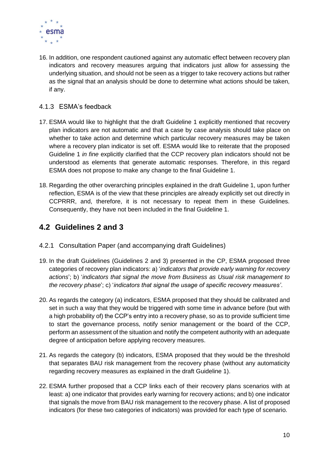

16. In addition, one respondent cautioned against any automatic effect between recovery plan indicators and recovery measures arguing that indicators just allow for assessing the underlying situation, and should not be seen as a trigger to take recovery actions but rather as the signal that an analysis should be done to determine what actions should be taken, if any.

### <span id="page-10-0"></span>4.1.3 ESMA's feedback

- 17. ESMA would like to highlight that the draft Guideline 1 explicitly mentioned that recovery plan indicators are not automatic and that a case by case analysis should take place on whether to take action and determine which particular recovery measures may be taken where a recovery plan indicator is set off. ESMA would like to reiterate that the proposed Guideline 1 *in fine* explicitly clarified that the CCP recovery plan indicators should not be understood as elements that generate automatic responses. Therefore, in this regard ESMA does not propose to make any change to the final Guideline 1.
- 18. Regarding the other overarching principles explained in the draft Guideline 1, upon further reflection, ESMA is of the view that these principles are already explicitly set out directly in CCPRRR, and, therefore, it is not necessary to repeat them in these Guidelines. Consequently, they have not been included in the final Guideline 1.

## <span id="page-10-1"></span>**4.2 Guidelines 2 and 3**

- <span id="page-10-2"></span>4.2.1 Consultation Paper (and accompanying draft Guidelines)
- 19. In the draft Guidelines (Guidelines 2 and 3) presented in the CP, ESMA proposed three categories of recovery plan indicators: a) '*indicators that provide early warning for recovery actions*'; b) '*indicators that signal the move from Business as Usual risk management to the recovery phase*'; c) '*indicators that signal the usage of specific recovery measures'*.
- 20. As regards the category (a) indicators, ESMA proposed that they should be calibrated and set in such a way that they would be triggered with some time in advance before (but with a high probability of) the CCP's entry into a recovery phase, so as to provide sufficient time to start the governance process, notify senior management or the board of the CCP, perform an assessment of the situation and notify the competent authority with an adequate degree of anticipation before applying recovery measures.
- 21. As regards the category (b) indicators, ESMA proposed that they would be the threshold that separates BAU risk management from the recovery phase (without any automaticity regarding recovery measures as explained in the draft Guideline 1).
- 22. ESMA further proposed that a CCP links each of their recovery plans scenarios with at least: a) one indicator that provides early warning for recovery actions; and b) one indicator that signals the move from BAU risk management to the recovery phase. A list of proposed indicators (for these two categories of indicators) was provided for each type of scenario.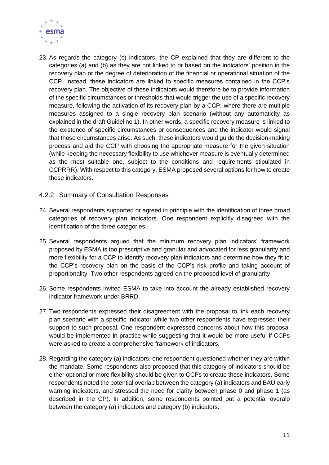

- 23. As regards the category (c) indicators, the CP explained that they are different to the categories (a) and (b) as they are not linked to or based on the indicators' position in the recovery plan or the degree of deterioration of the financial or operational situation of the CCP. Instead, these indicators are linked to specific measures contained in the CCP's recovery plan. The objective of these indicators would therefore be to provide information of the specific circumstances or thresholds that would trigger the use of a specific recovery measure, following the activation of its recovery plan by a CCP, where there are multiple measures assigned to a single recovery plan scenario (without any automaticity as explained in the draft Guideline 1). In other words, a specific recovery measure is linked to the existence of specific circumstances or consequences and the indicator would signal that those circumstances arise. As such, these indicators would guide the decision-making process and aid the CCP with choosing the appropriate measure for the given situation (while keeping the necessary flexibility to use whichever measure is eventually determined as the most suitable one, subject to the conditions and requirements stipulated in CCPRRR). With respect to this category, ESMA proposed several options for how to create these indicators.
- <span id="page-11-0"></span>4.2.2 Summary of Consultation Responses
- 24. Several respondents supported or agreed in principle with the identification of three broad categories of recovery plan indicators. One respondent explicitly disagreed with the identification of the three categories.
- 25. Several respondents argued that the minimum recovery plan indicators' framework proposed by ESMA is too prescriptive and granular and advocated for less granularity and more flexibility for a CCP to identify recovery plan indicators and determine how they fit to the CCP's recovery plan on the basis of the CCP's risk profile and taking account of proportionality. Two other respondents agreed on the proposed level of granularity.
- 26. Some respondents invited ESMA to take into account the already established recovery indicator framework under BRRD.
- 27. Two respondents expressed their disagreement with the proposal to link each recovery plan scenario with a specific indicator while two other respondents have expressed their support to such proposal. One respondent expressed concerns about how this proposal would be implemented in practice while suggesting that it would be more useful if CCPs were asked to create a comprehensive framework of indicators.
- 28. Regarding the category (a) indicators, one respondent questioned whether they are within the mandate. Some respondents also proposed that this category of indicators should be either optional or more flexibility should be given to CCPs to create these indicators. Some respondents noted the potential overlap between the category (a) indicators and BAU early warning indicators, and stressed the need for clarity between phase 0 and phase 1 (as described in the CP). In addition, some respondents pointed out a potential overalp between the category (a) indicators and category (b) indicators.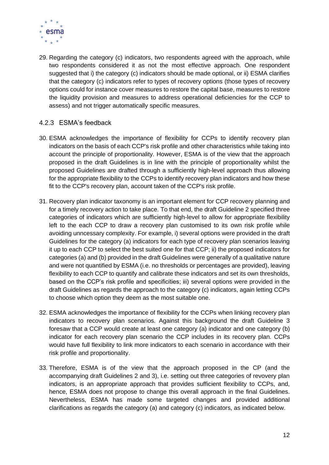

29. Regarding the category (c) indicators, two respondents agreed with the approach, while two respondents considered it as not the most effective approach. One respondent suggested that i) the category (c) indicators should be made optional, or ii) ESMA clarifies that the category (c) indicators refer to types of recovery options (those types of recovery options could for instance cover measures to restore the capital base, measures to restore the liquidity provision and measures to address operational deficiencies for the CCP to assess) and not trigger automatically specific measures.

### <span id="page-12-0"></span>4.2.3 ESMA's feedback

- 30. ESMA acknowledges the importance of flexibility for CCPs to identify recovery plan indicators on the basis of each CCP's risk profile and other characteristics while taking into account the principle of proportionality. However, ESMA is of the view that the approach proposed in the draft Guidelines is in line with the principle of proportionality whilst the proposed Guidelines are drafted through a sufficiently high-level approach thus allowing for the appropriate flexibility to the CCPs to identify recovery plan indicators and how these fit to the CCP's recovery plan, account taken of the CCP's risk profile.
- 31. Recovery plan indicator taxonomy is an important element for CCP recovery planning and for a timely recovery action to take place. To that end, the draft Guideline 2 specified three categories of indicators which are sufficiently high-level to allow for appropriate flexibility left to the each CCP to draw a recovery plan customised to its own risk profile while avoiding unncessary complexity. For example, i) several options were provided in the draft Guidelines for the category (a) indicators for each type of recovery plan scenarios leaving it up to each CCP to select the best suited one for that CCP; ii) the proposed indicators for categories (a) and (b) provided in the draft Guidelines were generally of a qualitative nature and were not quantified by ESMA (i.e. no thresholds or percentages are provided), leaving flexibility to each CCP to quantify and calibrate these indicators and set its own thresholds, based on the CCP's risk profile and specificities; iii) several options were provided in the draft Guidelines as regards the approach to the category (c) indicators, again letting CCPs to choose which option they deem as the most suitable one.
- 32. ESMA acknowledges the importance of flexibility for the CCPs when linking recovery plan indicators to recovery plan scenarios. Against this background the draft Guideline 3 foresaw that a CCP would create at least one category (a) indicator and one category (b) indicator for each recovery plan scenario the CCP includes in its recovery plan. CCPs would have full flexibility to link more indicators to each scenario in accordance with their risk profile and proportionality.
- 33. Therefore, ESMA is of the view that the approach proposed in the CP (and the accompanying draft Guidelines 2 and 3), i.e. setting out three categories of revovery plan indicators, is an appropriate approach that provides sufficient flexibility to CCPs, and, hence, ESMA does not propose to change this overall approach in the final Guidelines. Nevertheless, ESMA has made some targeted changes and provided additional clarifications as regards the category (a) and category (c) indicators, as indicated below.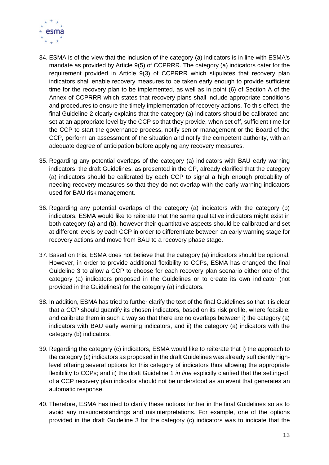

- 34. ESMA is of the view that the inclusion of the category (a) indicators is in line with ESMA's mandate as provided by Article 9(5) of CCPRRR. The category (a) indicators cater for the requirement provided in Article 9(3) of CCPRRR which stipulates that recovery plan indicators shall enable recovery measures to be taken early enough to provide sufficient time for the recovery plan to be implemented, as well as in point (6) of Section A of the Annex of CCPRRR which states that recovery plans shall include appropriate conditions and procedures to ensure the timely implementation of recovery actions. To this effect, the final Guideline 2 clearly explains that the category (a) indicators should be calibrated and set at an appropriate level by the CCP so that they provide, when set off, sufficient time for the CCP to start the governance process, notify senior management or the Board of the CCP, perform an assessment of the situation and notify the competent authority, with an adequate degree of anticipation before applying any recovery measures.
- 35. Regarding any potential overlaps of the category (a) indicators with BAU early warning indicators, the draft Guidelines, as presented in the CP, already clarified that the category (a) indicators should be calibrated by each CCP to signal a high enough probability of needing recovery measures so that they do not overlap with the early warning indicators used for BAU risk management.
- 36. Regarding any potential overlaps of the category (a) indicators with the category (b) indicators, ESMA would like to reiterate that the same qualitative indicators might exist in both category (a) and (b), however their quantitative aspects should be calibrated and set at different levels by each CCP in order to differentiate between an early warning stage for recovery actions and move from BAU to a recovery phase stage.
- 37. Based on this, ESMA does not believe that the category (a) indicators should be optional. However, in order to provide additional flexibility to CCPs, ESMA has changed the final Guideline 3 to allow a CCP to choose for each recovery plan scenario either one of the category (a) indicators proposed in the Guidelines or to create its own indicator (not provided in the Guidelines) for the category (a) indicators.
- 38. In addition, ESMA has tried to further clarify the text of the final Guidelines so that it is clear that a CCP should quantify its chosen indicators, based on its risk profile, where feasible, and calibrate them in such a way so that there are no overlaps between i) the category (a) indicators with BAU early warning indicators, and ii) the category (a) indicators with the category (b) indicators.
- 39. Regarding the category (c) indicators, ESMA would like to reiterate that i) the approach to the category (c) indicators as proposed in the draft Guidelines was already sufficiently highlevel offering several options for this category of indicators thus allowing the appropriate flexibility to CCPs; and ii) the draft Guideline 1 *in fine* explicitly clarified that the setting-off of a CCP recovery plan indicator should not be understood as an event that generates an automatic response.
- 40. Therefore, ESMA has tried to clarify these notions further in the final Guidelines so as to avoid any misunderstandings and misinterpretations. For example, one of the options provided in the draft Guideline 3 for the category (c) indicators was to indicate that the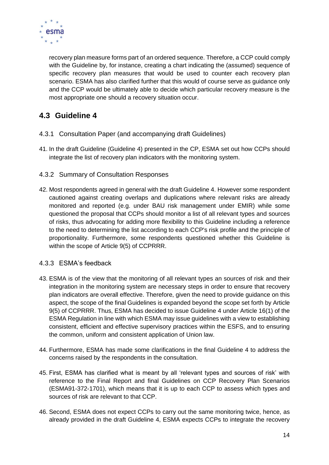

recovery plan measure forms part of an ordered sequence. Therefore, a CCP could comply with the Guideline by, for instance, creating a chart indicating the (assumed) sequence of specific recovery plan measures that would be used to counter each recovery plan scenario. ESMA has also clarified further that this would of course serve as guidance only and the CCP would be ultimately able to decide which particular recovery measure is the most appropriate one should a recovery situation occur.

## <span id="page-14-0"></span>**4.3 Guideline 4**

- <span id="page-14-1"></span>4.3.1 Consultation Paper (and accompanying draft Guidelines)
- 41. In the draft Guideline (Guideline 4) presented in the CP, ESMA set out how CCPs should integrate the list of recovery plan indicators with the monitoring system.
- <span id="page-14-2"></span>4.3.2 Summary of Consultation Responses
- 42. Most respondents agreed in general with the draft Guideline 4. However some respondent cautioned against creating overlaps and duplications where relevant risks are already monitored and reported (e.g. under BAU risk management under EMIR) while some questioned the proposal that CCPs should monitor a list of all relevant types and sources of risks, thus advocating for adding more flexibility to this Guideline including a reference to the need to determining the list according to each CCP's risk profile and the principle of proportionality. Furthermore, some respondents questioned whether this Guideline is within the scope of Article 9(5) of CCPRRR.

### <span id="page-14-3"></span>4.3.3 ESMA's feedback

- 43. ESMA is of the view that the monitoring of all relevant types an sources of risk and their integration in the monitoring system are necessary steps in order to ensure that recovery plan indicators are overall effective. Therefore, given the need to provide guidance on this aspect, the scope of the final Guidelines is expanded beyond the scope set forth by Article 9(5) of CCPRRR. Thus, ESMA has decided to issue Guideline 4 under Article 16(1) of the ESMA Regulation in line with which ESMA may issue guidelines with a view to establishing consistent, efficient and effective supervisory practices within the ESFS, and to ensuring the common, uniform and consistent application of Union law.
- 44. Furthermore, ESMA has made some clarifications in the final Guideline 4 to address the concerns raised by the respondents in the consultation.
- 45. First, ESMA has clarified what is meant by all 'relevant types and sources of risk' with reference to the Final Report and final Guidelines on CCP Recovery Plan Scenarios (ESMA91-372-1701), which means that it is up to each CCP to assess which types and sources of risk are relevant to that CCP.
- 46. Second, ESMA does not expect CCPs to carry out the same monitoring twice, hence, as already provided in the draft Guideline 4, ESMA expects CCPs to integrate the recovery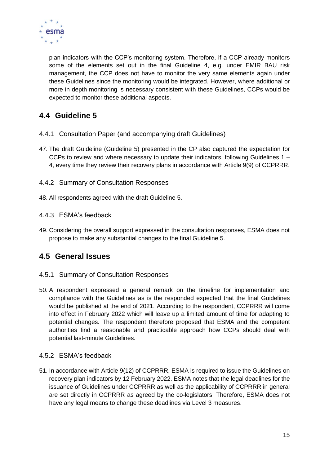

plan indicators with the CCP's monitoring system. Therefore, if a CCP already monitors some of the elements set out in the final Guideline 4, e.g. under EMIR BAU risk management, the CCP does not have to monitor the very same elements again under these Guidelines since the monitoring would be integrated. However, where additional or more in depth monitoring is necessary consistent with these Guidelines, CCPs would be expected to monitor these additional aspects.

## <span id="page-15-0"></span>**4.4 Guideline 5**

- <span id="page-15-1"></span>4.4.1 Consultation Paper (and accompanying draft Guidelines)
- 47. The draft Guideline (Guideline 5) presented in the CP also captured the expectation for CCPs to review and where necessary to update their indicators, following Guidelines 1 – 4, every time they review their recovery plans in accordance with Article 9(9) of CCPRRR.
- <span id="page-15-2"></span>4.4.2 Summary of Consultation Responses
- 48. All respondents agreed with the draft Guideline 5.
- <span id="page-15-3"></span>4.4.3 ESMA's feedback
- 49. Considering the overall support expressed in the consultation responses, ESMA does not propose to make any substantial changes to the final Guideline 5.

## <span id="page-15-4"></span>**4.5 General Issues**

- <span id="page-15-5"></span>4.5.1 Summary of Consultation Responses
- 50. A respondent expressed a general remark on the timeline for implementation and compliance with the Guidelines as is the responded expected that the final Guidelines would be published at the end of 2021. According to the respondent, CCPRRR will come into effect in February 2022 which will leave up a limited amount of time for adapting to potential changes. The respondent therefore proposed that ESMA and the competent authorities find a reasonable and practicable approach how CCPs should deal with potential last-minute Guidelines.

### <span id="page-15-6"></span>4.5.2 ESMA's feedback

51. In accordance with Article 9(12) of CCPRRR, ESMA is required to issue the Guidelines on recovery plan indicators by 12 February 2022. ESMA notes that the legal deadlines for the issuance of Guidelines under CCPRRR as well as the applicability of CCPRRR in general are set directly in CCPRRR as agreed by the co-legislators. Therefore, ESMA does not have any legal means to change these deadlines via Level 3 measures.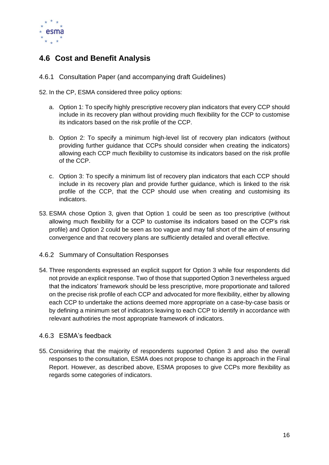

## <span id="page-16-0"></span>**4.6 Cost and Benefit Analysis**

<span id="page-16-1"></span>4.6.1 Consultation Paper (and accompanying draft Guidelines)

52. In the CP, ESMA considered three policy options:

- a. Option 1: To specify highly prescriptive recovery plan indicators that every CCP should include in its recovery plan without providing much flexibility for the CCP to customise its indicators based on the risk profile of the CCP.
- b. Option 2: To specify a minimum high-level list of recovery plan indicators (without providing further guidance that CCPs should consider when creating the indicators) allowing each CCP much flexibility to customise its indicators based on the risk profile of the CCP.
- c. Option 3: To specify a minimum list of recovery plan indicators that each CCP should include in its recovery plan and provide further guidance, which is linked to the risk profile of the CCP, that the CCP should use when creating and customising its indicators.
- 53. ESMA chose Option 3, given that Option 1 could be seen as too prescriptive (without allowing much flexibility for a CCP to customise its indicators based on the CCP's risk profile) and Option 2 could be seen as too vague and may fall short of the aim of ensuring convergence and that recovery plans are sufficiently detailed and overall effective.

### <span id="page-16-2"></span>4.6.2 Summary of Consultation Responses

54. Three respondents expressed an explicit support for Option 3 while four respondents did not provide an explicit response. Two of those that supported Option 3 nevertheless argued that the indicators' framework should be less prescriptive, more proportionate and tailored on the precise risk profile of each CCP and advocated for more flexibility, either by allowing each CCP to undertake the actions deemed more appropriate on a case-by-case basis or by defining a minimum set of indicators leaving to each CCP to identify in accordance with relevant authotiries the most appropriate framework of indicators.

### <span id="page-16-3"></span>4.6.3 ESMA's feedback

55. Considering that the majority of respondents supported Option 3 and also the overall responses to the consultation, ESMA does not propose to change its approach in the Final Report. However, as described above, ESMA proposes to give CCPs more flexibility as regards some categories of indicators.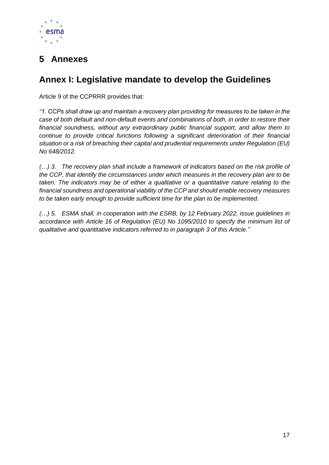

# <span id="page-17-0"></span>**5 Annexes**

# <span id="page-17-1"></span>**Annex I: Legislative mandate to develop the Guidelines**

Article 9 of the CCPRRR provides that:

*"1. CCPs shall draw up and maintain a recovery plan providing for measures to be taken in the case of both default and non-default events and combinations of both, in order to restore their financial soundness, without any extraordinary public financial support, and allow them to continue to provide critical functions following a significant deterioration of their financial situation or a risk of breaching their capital and prudential requirements under Regulation (EU) No 648/2012.*

*(…) 3. The recovery plan shall include a framework of indicators based on the risk profile of the CCP, that identify the circumstances under which measures in the recovery plan are to be taken. The indicators may be of either a qualitative or a quantitative nature relating to the financial soundness and operational viability of the CCP and should enable recovery measures to be taken early enough to provide sufficient time for the plan to be implemented.*

*(…) 5. ESMA shall, in cooperation with the ESRB, by 12 February 2022, issue guidelines in accordance with Article 16 of Regulation (EU) No 1095/2010 to specify the minimum list of qualitative and quantitative indicators referred to in paragraph 3 of this Article."*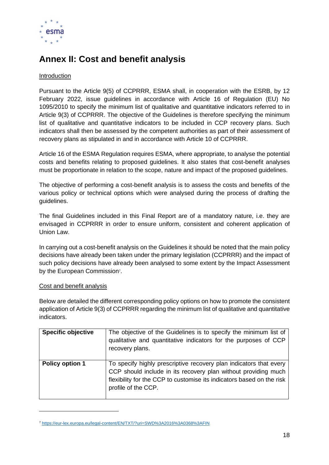

## <span id="page-18-0"></span>**Annex II: Cost and benefit analysis**

### Introduction

Pursuant to the Article 9(5) of CCPRRR, ESMA shall, in cooperation with the ESRB, by 12 February 2022, issue guidelines in accordance with Article 16 of Regulation (EU) No 1095/2010 to specify the minimum list of qualitative and quantitative indicators referred to in Article 9(3) of CCPRRR. The objective of the Guidelines is therefore specifying the minimum list of qualitative and quantitative indicators to be included in CCP recovery plans. Such indicators shall then be assessed by the competent authorities as part of their assessment of recovery plans as stipulated in and in accordance with Article 10 of CCPRRR.

Article 16 of the ESMA Regulation requires ESMA, where appropriate, to analyse the potential costs and benefits relating to proposed guidelines. It also states that cost-benefit analyses must be proportionate in relation to the scope, nature and impact of the proposed guidelines.

The objective of performing a cost-benefit analysis is to assess the costs and benefits of the various policy or technical options which were analysed during the process of drafting the guidelines.

The final Guidelines included in this Final Report are of a mandatory nature, i.e. they are envisaged in CCPRRR in order to ensure uniform, consistent and coherent application of Union Law.

In carrying out a cost-benefit analysis on the Guidelines it should be noted that the main policy decisions have already been taken under the primary legislation (CCPRRR) and the impact of such policy decisions have already been analysed to some extent by the Impact Assessment by the European Commission<sup>7</sup>.

### Cost and benefit analysis

Below are detailed the different corresponding policy options on how to promote the consistent application of Article 9(3) of CCPRRR regarding the minimum list of qualitative and quantitative indicators.

| <b>Specific objective</b> | The objective of the Guidelines is to specify the minimum list of<br>qualitative and quantitative indicators for the purposes of CCP<br>recovery plans.                                                                              |
|---------------------------|--------------------------------------------------------------------------------------------------------------------------------------------------------------------------------------------------------------------------------------|
| <b>Policy option 1</b>    | To specify highly prescriptive recovery plan indicators that every<br>CCP should include in its recovery plan without providing much<br>flexibility for the CCP to customise its indicators based on the risk<br>profile of the CCP. |

<sup>7</sup> <https://eur-lex.europa.eu/legal-content/EN/TXT/?uri=SWD%3A2016%3A0368%3AFIN>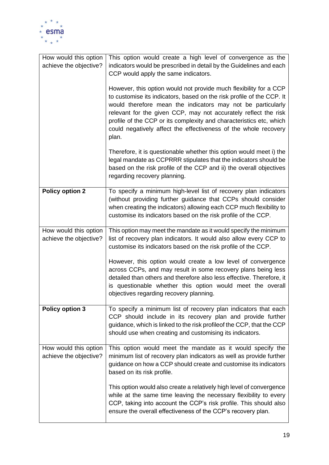

| How would this option<br>achieve the objective? | This option would create a high level of convergence as the<br>indicators would be prescribed in detail by the Guidelines and each<br>CCP would apply the same indicators.                                                                                                                                                                                                                                                      |
|-------------------------------------------------|---------------------------------------------------------------------------------------------------------------------------------------------------------------------------------------------------------------------------------------------------------------------------------------------------------------------------------------------------------------------------------------------------------------------------------|
|                                                 | However, this option would not provide much flexibility for a CCP<br>to customise its indicators, based on the risk profile of the CCP. It<br>would therefore mean the indicators may not be particularly<br>relevant for the given CCP, may not accurately reflect the risk<br>profile of the CCP or its complexity and characteristics etc, which<br>could negatively affect the effectiveness of the whole recovery<br>plan. |
|                                                 | Therefore, it is questionable whether this option would meet i) the<br>legal mandate as CCPRRR stipulates that the indicators should be<br>based on the risk profile of the CCP and ii) the overall objectives<br>regarding recovery planning.                                                                                                                                                                                  |
| <b>Policy option 2</b>                          | To specify a minimum high-level list of recovery plan indicators<br>(without providing further guidance that CCPs should consider<br>when creating the indicators) allowing each CCP much flexibility to<br>customise its indicators based on the risk profile of the CCP.                                                                                                                                                      |
| How would this option<br>achieve the objective? | This option may meet the mandate as it would specify the minimum<br>list of recovery plan indicators. It would also allow every CCP to<br>customise its indicators based on the risk profile of the CCP.                                                                                                                                                                                                                        |
|                                                 | However, this option would create a low level of convergence<br>across CCPs, and may result in some recovery plans being less<br>detailed than others and therefore also less effective. Therefore, it<br>is questionable whether this option would meet the overall<br>objectives regarding recovery planning.                                                                                                                 |
| <b>Policy option 3</b>                          | To specify a minimum list of recovery plan indicators that each<br>CCP should include in its recovery plan and provide further<br>guidance, which is linked to the risk profileof the CCP, that the CCP<br>should use when creating and customising its indicators.                                                                                                                                                             |
| How would this option<br>achieve the objective? | This option would meet the mandate as it would specify the<br>minimum list of recovery plan indicators as well as provide further<br>guidance on how a CCP should create and customise its indicators<br>based on its risk profile.                                                                                                                                                                                             |
|                                                 | This option would also create a relatively high level of convergence<br>while at the same time leaving the necessary flexibility to every<br>CCP, taking into account the CCP's risk profile. This should also<br>ensure the overall effectiveness of the CCP's recovery plan.                                                                                                                                                  |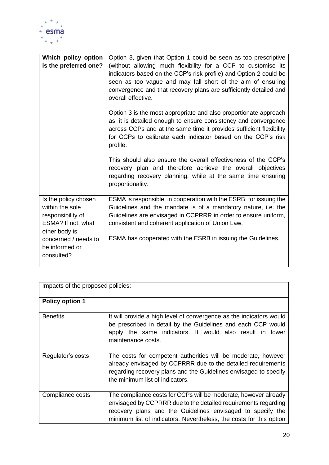

| Which policy option<br>is the preferred one?                          | Option 3, given that Option 1 could be seen as too prescriptive<br>(without allowing much flexibility for a CCP to customise its<br>indicators based on the CCP's risk profile) and Option 2 could be<br>seen as too vague and may fall short of the aim of ensuring<br>convergence and that recovery plans are sufficiently detailed and<br>overall effective.<br>Option 3 is the most appropriate and also proportionate approach<br>as, it is detailed enough to ensure consistency and convergence<br>across CCPs and at the same time it provides sufficient flexibility |
|-----------------------------------------------------------------------|-------------------------------------------------------------------------------------------------------------------------------------------------------------------------------------------------------------------------------------------------------------------------------------------------------------------------------------------------------------------------------------------------------------------------------------------------------------------------------------------------------------------------------------------------------------------------------|
|                                                                       | for CCPs to calibrate each indicator based on the CCP's risk<br>profile.                                                                                                                                                                                                                                                                                                                                                                                                                                                                                                      |
|                                                                       | This should also ensure the overall effectiveness of the CCP's<br>recovery plan and therefore achieve the overall objectives<br>regarding recovery planning, while at the same time ensuring<br>proportionality.                                                                                                                                                                                                                                                                                                                                                              |
| Is the policy chosen                                                  | ESMA is responsible, in cooperation with the ESRB, for issuing the                                                                                                                                                                                                                                                                                                                                                                                                                                                                                                            |
| within the sole                                                       | Guidelines and the mandate is of a mandatory nature, i.e. the                                                                                                                                                                                                                                                                                                                                                                                                                                                                                                                 |
| responsibility of                                                     | Guidelines are envisaged in CCPRRR in order to ensure uniform,                                                                                                                                                                                                                                                                                                                                                                                                                                                                                                                |
| ESMA? If not, what                                                    | consistent and coherent application of Union Law.                                                                                                                                                                                                                                                                                                                                                                                                                                                                                                                             |
| other body is<br>concerned / needs to<br>be informed or<br>consulted? | ESMA has cooperated with the ESRB in issuing the Guidelines.                                                                                                                                                                                                                                                                                                                                                                                                                                                                                                                  |
|                                                                       |                                                                                                                                                                                                                                                                                                                                                                                                                                                                                                                                                                               |

| Impacts of the proposed policies: |                                                                                                                                                                                                                                                                        |  |  |
|-----------------------------------|------------------------------------------------------------------------------------------------------------------------------------------------------------------------------------------------------------------------------------------------------------------------|--|--|
| <b>Policy option 1</b>            |                                                                                                                                                                                                                                                                        |  |  |
| <b>Benefits</b>                   | It will provide a high level of convergence as the indicators would<br>be prescribed in detail by the Guidelines and each CCP would<br>apply the same indicators. It would also result in lower<br>maintenance costs.                                                  |  |  |
| Regulator's costs                 | The costs for competent authorities will be moderate, however<br>already envisaged by CCPRRR due to the detailed requirements<br>regarding recovery plans and the Guidelines envisaged to specify<br>the minimum list of indicators.                                   |  |  |
| Compliance costs                  | The compliance costs for CCPs will be moderate, however already<br>envisaged by CCPRRR due to the detailed requirements regarding<br>recovery plans and the Guidelines envisaged to specify the<br>minimum list of indicators. Nevertheless, the costs for this option |  |  |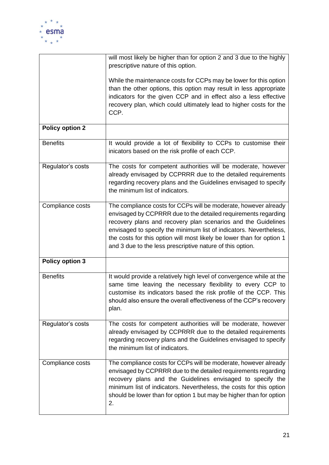

|                        | will most likely be higher than for option 2 and 3 due to the highly<br>prescriptive nature of this option.                                                                                                                                                                                                                                                                                                    |
|------------------------|----------------------------------------------------------------------------------------------------------------------------------------------------------------------------------------------------------------------------------------------------------------------------------------------------------------------------------------------------------------------------------------------------------------|
|                        | While the maintenance costs for CCPs may be lower for this option<br>than the other options, this option may result in less appropriate<br>indicators for the given CCP and in effect also a less effective<br>recovery plan, which could ultimately lead to higher costs for the<br>CCP.                                                                                                                      |
| <b>Policy option 2</b> |                                                                                                                                                                                                                                                                                                                                                                                                                |
| <b>Benefits</b>        | It would provide a lot of flexibility to CCPs to customise their<br>inicators based on the risk profile of each CCP.                                                                                                                                                                                                                                                                                           |
| Regulator's costs      | The costs for competent authorities will be moderate, however<br>already envisaged by CCPRRR due to the detailed requirements<br>regarding recovery plans and the Guidelines envisaged to specify<br>the minimum list of indicators.                                                                                                                                                                           |
| Compliance costs       | The compliance costs for CCPs will be moderate, however already<br>envisaged by CCPRRR due to the detailed requirements regarding<br>recovery plans and recovery plan scenarios and the Guidelines<br>envisaged to specify the minimum list of indicators. Nevertheless,<br>the costs for this option will most likely be lower than for option 1<br>and 3 due to the less prescriptive nature of this option. |
| <b>Policy option 3</b> |                                                                                                                                                                                                                                                                                                                                                                                                                |
| <b>Benefits</b>        | It would provide a relatively high level of convergence while at the<br>same time leaving the necessary flexibility to every CCP to<br>customise its indicators based the risk profile of the CCP. This<br>should also ensure the overall effectiveness of the CCP's recovery<br>plan.                                                                                                                         |
| Regulator's costs      | The costs for competent authorities will be moderate, however<br>already envisaged by CCPRRR due to the detailed requirements<br>regarding recovery plans and the Guidelines envisaged to specify<br>the minimum list of indicators.                                                                                                                                                                           |
| Compliance costs       | The compliance costs for CCPs will be moderate, however already<br>envisaged by CCPRRR due to the detailed requirements regarding<br>recovery plans and the Guidelines envisaged to specify the<br>minimum list of indicators. Nevertheless, the costs for this option<br>should be lower than for option 1 but may be higher than for option<br>2.                                                            |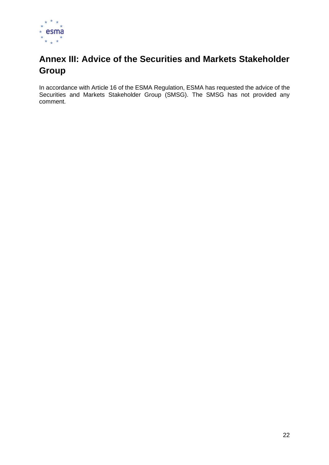

# <span id="page-22-0"></span>**Annex III: Advice of the Securities and Markets Stakeholder Group**

In accordance with Article 16 of the ESMA Regulation, ESMA has requested the advice of the Securities and Markets Stakeholder Group (SMSG). The SMSG has not provided any comment.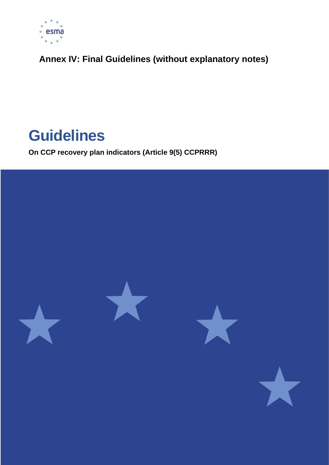

<span id="page-23-0"></span>**Annex IV: Final Guidelines (without explanatory notes)**

# **Guidelines**

**On CCP recovery plan indicators (Article 9(5) CCPRRR)**

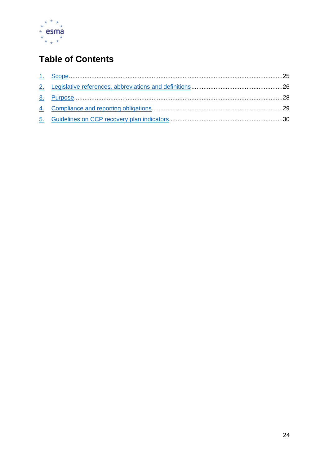

# **Table of Contents**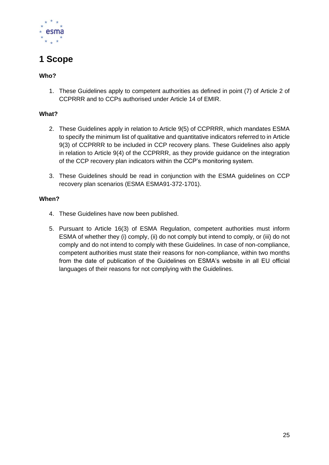

# <span id="page-25-0"></span>**1 Scope**

### **Who?**

1. These Guidelines apply to competent authorities as defined in point (7) of Article 2 of CCPRRR and to CCPs authorised under Article 14 of EMIR.

### **What?**

- 2. These Guidelines apply in relation to Article 9(5) of CCPRRR, which mandates ESMA to specify the minimum list of qualitative and quantitative indicators referred to in Article 9(3) of CCPRRR to be included in CCP recovery plans. These Guidelines also apply in relation to Article 9(4) of the CCPRRR, as they provide guidance on the integration of the CCP recovery plan indicators within the CCP's monitoring system.
- 3. These Guidelines should be read in conjunction with the ESMA guidelines on CCP recovery plan scenarios (ESMA ESMA91-372-1701).

### **When?**

- 4. These Guidelines have now been published.
- 5. Pursuant to Article 16(3) of ESMA Regulation, competent authorities must inform ESMA of whether they (i) comply, (ii) do not comply but intend to comply, or (iii) do not comply and do not intend to comply with these Guidelines. In case of non-compliance, competent authorities must state their reasons for non-compliance, within two months from the date of publication of the Guidelines on ESMA's website in all EU official languages of their reasons for not complying with the Guidelines.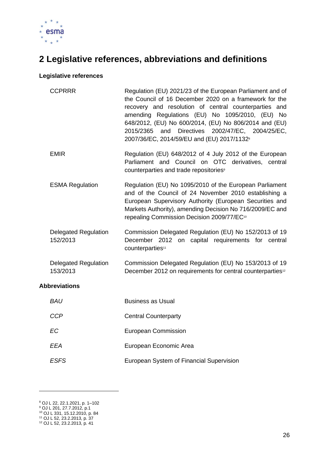

# <span id="page-26-0"></span>**2 Legislative references, abbreviations and definitions**

### **Legislative references**

|                      | <b>CCPRRR</b>                           | Regulation (EU) 2021/23 of the European Parliament and of<br>the Council of 16 December 2020 on a framework for the<br>recovery and resolution of central counterparties and<br>amending Regulations (EU) No 1095/2010, (EU) No<br>648/2012, (EU) No 600/2014, (EU) No 806/2014 and (EU)<br>and Directives 2002/47/EC, 2004/25/EC,<br>2015/2365<br>2007/36/EC, 2014/59/EU and (EU) 2017/1132 <sup>8</sup> |
|----------------------|-----------------------------------------|-----------------------------------------------------------------------------------------------------------------------------------------------------------------------------------------------------------------------------------------------------------------------------------------------------------------------------------------------------------------------------------------------------------|
|                      | <b>EMIR</b>                             | Regulation (EU) 648/2012 of 4 July 2012 of the European<br>Parliament and Council on OTC derivatives, central<br>counterparties and trade repositories <sup>9</sup>                                                                                                                                                                                                                                       |
|                      | <b>ESMA Regulation</b>                  | Regulation (EU) No 1095/2010 of the European Parliament<br>and of the Council of 24 November 2010 establishing a<br>European Supervisory Authority (European Securities and<br>Markets Authority), amending Decision No 716/2009/EC and<br>repealing Commission Decision 2009/77/EC <sup>10</sup>                                                                                                         |
|                      | <b>Delegated Regulation</b><br>152/2013 | Commission Delegated Regulation (EU) No 152/2013 of 19<br>December 2012 on capital requirements for central<br>counterparties <sup>11</sup>                                                                                                                                                                                                                                                               |
|                      | <b>Delegated Regulation</b><br>153/2013 | Commission Delegated Regulation (EU) No 153/2013 of 19<br>December 2012 on requirements for central counterparties <sup>12</sup>                                                                                                                                                                                                                                                                          |
| <b>Abbreviations</b> |                                         |                                                                                                                                                                                                                                                                                                                                                                                                           |
|                      | <b>BAU</b>                              | <b>Business as Usual</b>                                                                                                                                                                                                                                                                                                                                                                                  |
|                      | <b>CCP</b>                              | <b>Central Counterparty</b>                                                                                                                                                                                                                                                                                                                                                                               |
|                      | <b>EC</b>                               | <b>European Commission</b>                                                                                                                                                                                                                                                                                                                                                                                |
|                      | <b>EEA</b>                              | European Economic Area                                                                                                                                                                                                                                                                                                                                                                                    |
|                      | <b>ESFS</b>                             | European System of Financial Supervision                                                                                                                                                                                                                                                                                                                                                                  |

<sup>8</sup> OJ L 22, 22.1.2021, p. 1–102

<sup>9</sup> OJ L 201, 27.7.2012, p.1

<sup>10</sup> OJ L 331, 15.12.2010, p. 84

<sup>11</sup> OJ L 52, 23.2.2013, p. 37 <sup>12</sup> OJ L 52, 23.2.2013, p. 41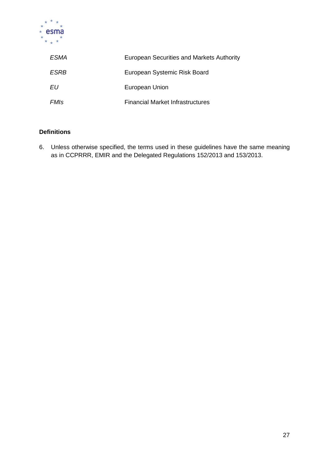

| ESMA | European Securities and Markets Authority |
|------|-------------------------------------------|
| ESRB | European Systemic Risk Board              |
| EU   | European Union                            |
| FMIs | <b>Financial Market Infrastructures</b>   |

### **Definitions**

6. Unless otherwise specified, the terms used in these guidelines have the same meaning as in CCPRRR, EMIR and the Delegated Regulations 152/2013 and 153/2013.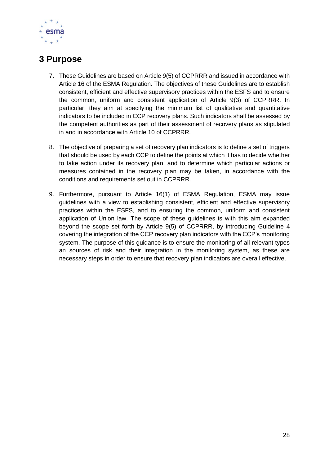

## <span id="page-28-0"></span>**3 Purpose**

- 7. These Guidelines are based on Article 9(5) of CCPRRR and issued in accordance with Article 16 of the ESMA Regulation. The objectives of these Guidelines are to establish consistent, efficient and effective supervisory practices within the ESFS and to ensure the common, uniform and consistent application of Article 9(3) of CCPRRR. In particular, they aim at specifying the minimum list of qualitative and quantitative indicators to be included in CCP recovery plans. Such indicators shall be assessed by the competent authorities as part of their assessment of recovery plans as stipulated in and in accordance with Article 10 of CCPRRR.
- 8. The objective of preparing a set of recovery plan indicators is to define a set of triggers that should be used by each CCP to define the points at which it has to decide whether to take action under its recovery plan, and to determine which particular actions or measures contained in the recovery plan may be taken, in accordance with the conditions and requirements set out in CCPRRR.
- 9. Furthermore, pursuant to Article 16(1) of ESMA Regulation, ESMA may issue guidelines with a view to establishing consistent, efficient and effective supervisory practices within the ESFS, and to ensuring the common, uniform and consistent application of Union law. The scope of these guidelines is with this aim expanded beyond the scope set forth by Article 9(5) of CCPRRR, by introducing Guideline 4 covering the integration of the CCP recovery plan indicators with the CCP's monitoring system. The purpose of this guidance is to ensure the monitoring of all relevant types an sources of risk and their integration in the monitoring system, as these are necessary steps in order to ensure that recovery plan indicators are overall effective.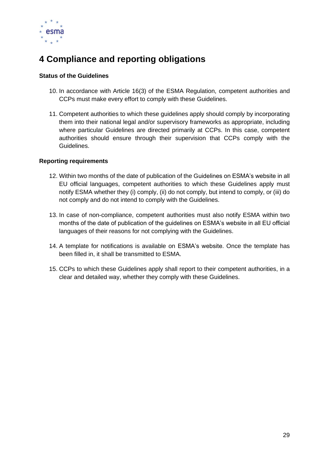

# <span id="page-29-0"></span>**4 Compliance and reporting obligations**

### **Status of the Guidelines**

- 10. In accordance with Article 16(3) of the ESMA Regulation, competent authorities and CCPs must make every effort to comply with these Guidelines.
- 11. Competent authorities to which these guidelines apply should comply by incorporating them into their national legal and/or supervisory frameworks as appropriate, including where particular Guidelines are directed primarily at CCPs. In this case, competent authorities should ensure through their supervision that CCPs comply with the Guidelines.

### **Reporting requirements**

- 12. Within two months of the date of publication of the Guidelines on ESMA's website in all EU official languages, competent authorities to which these Guidelines apply must notify ESMA whether they (i) comply, (ii) do not comply, but intend to comply, or (iii) do not comply and do not intend to comply with the Guidelines.
- 13. In case of non-compliance, competent authorities must also notify ESMA within two months of the date of publication of the guidelines on ESMA's website in all EU official languages of their reasons for not complying with the Guidelines.
- 14. A template for notifications is available on ESMA's website. Once the template has been filled in, it shall be transmitted to ESMA.
- 15. CCPs to which these Guidelines apply shall report to their competent authorities, in a clear and detailed way, whether they comply with these Guidelines.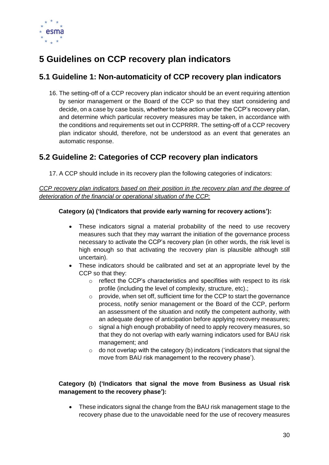

# <span id="page-30-3"></span><span id="page-30-0"></span>**5 Guidelines on CCP recovery plan indicators**

## <span id="page-30-1"></span>**5.1 Guideline 1: Non-automaticity of CCP recovery plan indicators**

16. The setting-off of a CCP recovery plan indicator should be an event requiring attention by senior management or the Board of the CCP so that they start considering and decide, on a case by case basis, whether to take action under the CCP's recovery plan, and determine which particular recovery measures may be taken, in accordance with the conditions and requirements set out in CCPRRR. The setting-off of a CCP recovery plan indicator should, therefore, not be understood as an event that generates an automatic response.

## <span id="page-30-2"></span>**5.2 Guideline 2: Categories of CCP recovery plan indicators**

17. A CCP should include in its recovery plan the following categories of indicators:

*CCP recovery plan indicators based on their position in the recovery plan and the degree of deterioration of the financial or operational situation of the CCP:*

### **Category (a) ('Indicators that provide early warning for recovery actions'):**

- These indicators signal a material probability of the need to use recovery measures such that they may warrant the initiation of the governance process necessary to activate the CCP's recovery plan (in other words, the risk level is high enough so that activating the recovery plan is plausible although still uncertain).
- These indicators should be calibrated and set at an appropriate level by the CCP so that they:
	- o reflect the CCP's characteristics and specifities with respect to its risk profile (including the level of complexity, structure, etc).;
	- o provide, when set off, sufficient time for the CCP to start the governance process, notify senior management or the Board of the CCP, perform an assessment of the situation and notify the competent authority, with an adequate degree of anticipation before applying recovery measures;
	- o signal a high enough probability of need to apply recovery measures, so that they do not overlap with early warning indicators used for BAU risk management; and
	- $\circ$  do not overlap with the category (b) indicators ('indicators that signal the move from BAU risk management to the recovery phase').

### **Category (b) ('Indicators that signal the move from Business as Usual risk management to the recovery phase'):**

• These indicators signal the change from the BAU risk management stage to the recovery phase due to the unavoidable need for the use of recovery measures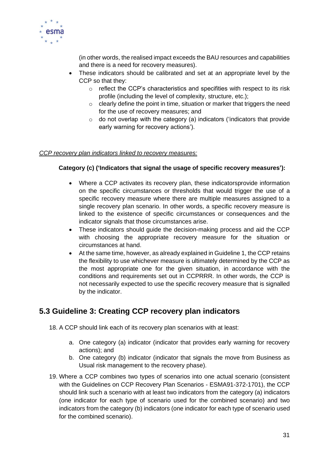

(in other words, the realised impact exceeds the BAU resources and capabilities and there is a need for recovery measures).

- These indicators should be calibrated and set at an appropriate level by the CCP so that they:
	- o reflect the CCP's characteristics and specifities with respect to its risk profile (including the level of complexity, structure, etc.);
	- $\circ$  clearly define the point in time, situation or marker that triggers the need for the use of recovery measures; and
	- $\circ$  do not overlap with the category (a) indicators ('indicators that provide early warning for recovery actions').

### *CCP recovery plan indicators linked to recovery measures:*

### **Category (c) ('Indicators that signal the usage of specific recovery measures'):**

- Where a CCP activates its recovery plan, these indicatorsprovide information on the specific circumstances or thresholds that would trigger the use of a specific recovery measure where there are multiple measures assigned to a single recovery plan scenario. In other words, a specific recovery measure is linked to the existence of specific circumstances or consequences and the indicator signals that those circumstances arise.
- These indicators should guide the decision-making process and aid the CCP with choosing the appropriate recovery measure for the situation or circumstances at hand.
- At the same time, however, as already explained in Guideline 1, the CCP retains the flexibility to use whichever measure is ultimately determined by the CCP as the most appropriate one for the given situation, in accordance with the conditions and requirements set out in CCPRRR. In other words, the CCP is not necessarily expected to use the specific recovery measure that is signalled by the indicator.

### <span id="page-31-0"></span>**5.3 Guideline 3: Creating CCP recovery plan indicators**

- 18. A CCP should link each of its recovery plan scenarios with at least:
	- a. One category (a) indicator (indicator that provides early warning for recovery actions); and
	- b. One category (b) indicator (indicator that signals the move from Business as Usual risk management to the recovery phase).
- 19. Where a CCP combines two types of scenarios into one actual scenario (consistent with the Guidelines on CCP Recovery Plan Scenarios - ESMA91-372-1701), the CCP should link such a scenario with at least two indicators from the category (a) indicators (one indicator for each type of scenario used for the combined scenario) and two indicators from the category (b) indicators (one indicator for each type of scenario used for the combined scenario).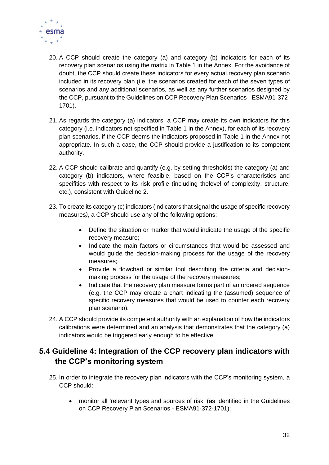

- 20. A CCP should create the category (a) and category (b) indicators for each of its recovery plan scenarios using the matrix in Table 1 in the Annex. For the avoidance of doubt, the CCP should create these indicators for every actual recovery plan scenario included in its recovery plan (i.e. the scenarios created for each of the seven types of scenarios and any additional scenarios, as well as any further scenarios designed by the CCP, pursuant to the Guidelines on CCP Recovery Plan Scenarios - ESMA91-372- 1701).
- 21. As regards the category (a) indicators, a CCP may create its own indicators for this category (i.e. indicators not specified in Table 1 in the Annex), for each of its recovery plan scenarios, if the CCP deems the indicators proposed in Table 1 in the Annex not appropriate. In such a case, the CCP should provide a justification to its competent authority.
- 22. A CCP should calibrate and quantify (e.g. by setting thresholds) the category (a) and category (b) indicators, where feasible, based on the CCP's characteristics and specifities with respect to its risk profile (including thelevel of complexity, structure, etc.), consistent with Guideline 2.
- 23. To create its category (c) indicators (indicators that signal the usage of specific recovery measures*)*, a CCP should use any of the following options:
	- Define the situation or marker that would indicate the usage of the specific recovery measure;
	- Indicate the main factors or circumstances that would be assessed and would guide the decision-making process for the usage of the recovery measures;
	- Provide a flowchart or similar tool describing the criteria and decisionmaking process for the usage of the recovery measures;
	- Indicate that the recovery plan measure forms part of an ordered sequence (e.g. the CCP may create a chart indicating the (assumed) sequence of specific recovery measures that would be used to counter each recovery plan scenario).
- 24. A CCP should provide its competent authority with an explanation of how the indicators calibrations were determined and an analysis that demonstrates that the category (a) indicators would be triggered early enough to be effective.

## <span id="page-32-0"></span>**5.4 Guideline 4: Integration of the CCP recovery plan indicators with the CCP's monitoring system**

- 25. In order to integrate the recovery plan indicators with the CCP's monitoring system, a CCP should:
	- monitor all 'relevant types and sources of risk' (as identified in the Guidelines on CCP Recovery Plan Scenarios - ESMA91-372-1701);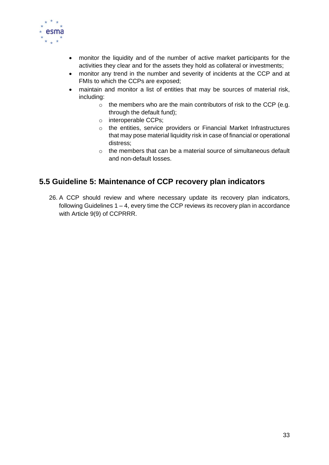

- monitor the liquidity and of the number of active market participants for the activities they clear and for the assets they hold as collateral or investments;
- monitor any trend in the number and severity of incidents at the CCP and at FMIs to which the CCPs are exposed;
- maintain and monitor a list of entities that may be sources of material risk, including:
	- o the members who are the main contributors of risk to the CCP (e.g. through the default fund);
	- o interoperable CCPs;
	- o the entities, service providers or Financial Market Infrastructures that may pose material liquidity risk in case of financial or operational distress;
	- o the members that can be a material source of simultaneous default and non-default losses.

### <span id="page-33-0"></span>**5.5 Guideline 5: Maintenance of CCP recovery plan indicators**

26. A CCP should review and where necessary update its recovery plan indicators, following Guidelines  $1 - 4$ , every time the CCP reviews its recovery plan in accordance with Article 9(9) of CCPRRR.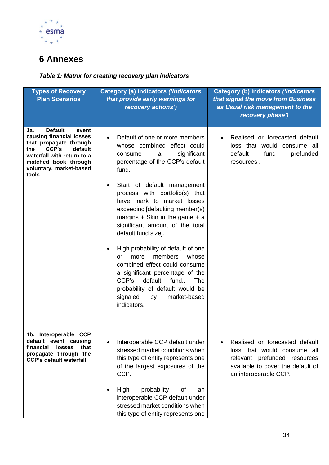

# <span id="page-34-0"></span>**6 Annexes**

### *Table 1: Matrix for creating recovery plan indicators*

| <b>Types of Recovery</b><br><b>Plan Scenarios</b>                                                                                                                                                         | <b>Category (a) indicators ('Indicators</b><br>that provide early warnings for<br>recovery actions')                                                                                                                                                                      | Category (b) indicators ('Indicators<br>that signal the move from Business<br>as Usual risk management to the<br>recovery phase')                           |
|-----------------------------------------------------------------------------------------------------------------------------------------------------------------------------------------------------------|---------------------------------------------------------------------------------------------------------------------------------------------------------------------------------------------------------------------------------------------------------------------------|-------------------------------------------------------------------------------------------------------------------------------------------------------------|
| <b>Default</b><br>1a.<br>event<br>causing financial losses<br>that propagate through<br>CCP's<br>default<br>the<br>waterfall with return to a<br>matched book through<br>voluntary, market-based<br>tools | Default of one or more members<br>whose combined effect could<br>significant<br>consume<br>a<br>percentage of the CCP's default<br>fund.                                                                                                                                  | Realised or forecasted default<br>loss that would consume all<br>default<br>fund<br>prefunded<br>resources.                                                 |
|                                                                                                                                                                                                           | Start of default management<br>٠<br>process with portfolio(s) that<br>have mark to market losses<br>exceeding [defaulting member(s)<br>margins $+$ Skin in the game $+$ a<br>significant amount of the total<br>default fund size].                                       |                                                                                                                                                             |
|                                                                                                                                                                                                           | High probability of default of one<br>members<br>whose<br>more<br>or<br>combined effect could consume<br>a significant percentage of the<br>CCP's<br>default<br>fund<br>The<br>probability of default would be<br>signaled<br>market-based<br>by<br>indicators.           |                                                                                                                                                             |
| 1b. Interoperable CCP<br>default event causing<br>financial<br><b>losses</b><br>that<br>propagate through the<br><b>CCP's default waterfall</b>                                                           | Interoperable CCP default under<br>$\bullet$<br>stressed market conditions when<br>this type of entity represents one<br>of the largest exposures of the<br>CCP.<br>High<br>probability<br>οf<br>an<br>interoperable CCP default under<br>stressed market conditions when | Realised or forecasted default<br>loss that would consume all<br>relevant prefunded resources<br>available to cover the default of<br>an interoperable CCP. |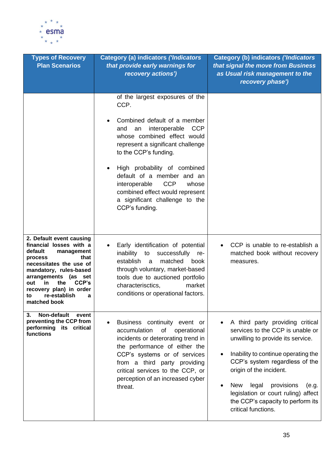

| <b>Types of Recovery</b><br><b>Plan Scenarios</b>                                                                                                                                                                                                                                | <b>Category (a) indicators ('Indicators</b><br>that provide early warnings for<br>recovery actions')                                                                                                                                                                                                                                                                                                          | <b>Category (b) indicators ('Indicators</b><br>that signal the move from Business<br>as Usual risk management to the<br>recovery phase')                                                                                                                                                                                                                |
|----------------------------------------------------------------------------------------------------------------------------------------------------------------------------------------------------------------------------------------------------------------------------------|---------------------------------------------------------------------------------------------------------------------------------------------------------------------------------------------------------------------------------------------------------------------------------------------------------------------------------------------------------------------------------------------------------------|---------------------------------------------------------------------------------------------------------------------------------------------------------------------------------------------------------------------------------------------------------------------------------------------------------------------------------------------------------|
|                                                                                                                                                                                                                                                                                  | of the largest exposures of the<br>CCP.<br>Combined default of a member<br>interoperable<br><b>CCP</b><br>and<br>an<br>whose combined effect would<br>represent a significant challenge<br>to the CCP's funding.<br>High probability of combined<br>default of a member and an<br><b>CCP</b><br>interoperable<br>whose<br>combined effect would represent<br>a significant challenge to the<br>CCP's funding. |                                                                                                                                                                                                                                                                                                                                                         |
| 2. Default event causing<br>financial losses with a<br>default<br>management<br>that<br>process<br>necessitates the use of<br>mandatory, rules-based<br>arrangements (as set<br>CCP's<br>in.<br>the<br>out<br>recovery plan) in order<br>re-establish<br>to<br>а<br>matched book | Early identification of potential<br>inability<br>successfully re-<br>to<br>matched<br>establish<br>a<br>book<br>through voluntary, market-based<br>tools due to auctioned portfolio<br>market<br>characterisctics,<br>conditions or operational factors.                                                                                                                                                     | CCP is unable to re-establish a<br>matched book without recovery<br>measures.                                                                                                                                                                                                                                                                           |
| Non-default<br>3.<br>event<br>preventing the CCP from<br>performing its critical<br>functions                                                                                                                                                                                    | Business continuity event or<br>of<br>operational<br>accumulation<br>incidents or deterorating trend in<br>the performance of either the<br>CCP's systems or of services<br>from a third party providing<br>critical services to the CCP, or<br>perception of an increased cyber<br>threat.                                                                                                                   | A third party providing critical<br>services to the CCP is unable or<br>unwilling to provide its service.<br>Inability to continue operating the<br>CCP's system regardless of the<br>origin of the incident.<br>provisions<br>New<br>legal<br>(e.g.<br>legislation or court ruling) affect<br>the CCP's capacity to perform its<br>critical functions. |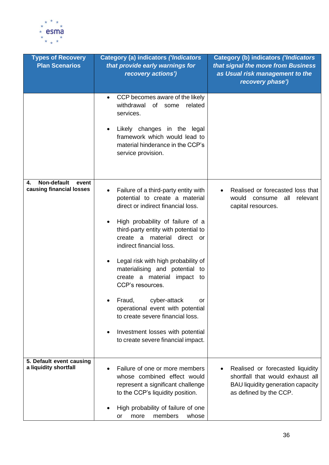

| <b>Types of Recovery</b><br><b>Plan Scenarios</b>      | <b>Category (a) indicators ('Indicators</b><br>that provide early warnings for<br>recovery actions')                                           | Category (b) indicators ('Indicators<br>that signal the move from Business<br>as Usual risk management to the<br>recovery phase')          |
|--------------------------------------------------------|------------------------------------------------------------------------------------------------------------------------------------------------|--------------------------------------------------------------------------------------------------------------------------------------------|
|                                                        | CCP becomes aware of the likely<br>$\bullet$<br>withdrawal<br>of some<br>related<br>services.<br>Likely changes in the legal                   |                                                                                                                                            |
|                                                        | framework which would lead to<br>material hinderance in the CCP's<br>service provision.                                                        |                                                                                                                                            |
| Non-default<br>4.<br>event<br>causing financial losses | Failure of a third-party entity with<br>$\bullet$<br>potential to create a material<br>direct or indirect financial loss.                      | Realised or forecasted loss that<br>relevant<br>would<br>all<br>consume<br>capital resources.                                              |
|                                                        | High probability of failure of a<br>third-party entity with potential to<br>direct or<br>create<br>material<br>a a<br>indirect financial loss. |                                                                                                                                            |
|                                                        | Legal risk with high probability of<br>materialising and potential to<br>create a material<br>impact to<br>CCP's resources.                    |                                                                                                                                            |
|                                                        | Fraud, cyber-attack<br>Οľ<br>operational event with potential<br>to create severe financial loss.                                              |                                                                                                                                            |
| 5. Default event causing                               | Investment losses with potential<br>to create severe financial impact.                                                                         |                                                                                                                                            |
| a liquidity shortfall                                  | Failure of one or more members<br>whose combined effect would<br>represent a significant challenge<br>to the CCP's liquidity position.         | Realised or forecasted liquidity<br>shortfall that would exhaust all<br><b>BAU liquidity generation capacity</b><br>as defined by the CCP. |
|                                                        | High probability of failure of one<br>members<br>whose<br>more<br>or                                                                           |                                                                                                                                            |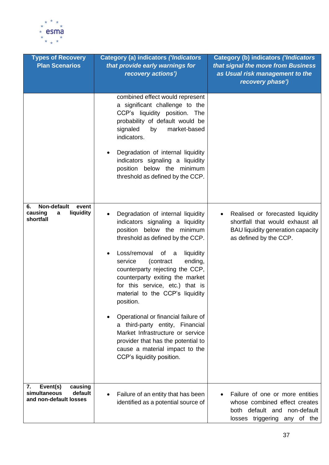

| <b>Types of Recovery</b><br><b>Plan Scenarios</b>                              | <b>Category (a) indicators ('Indicators</b><br>that provide early warnings for<br>recovery actions')                                                                                                                                                                                                                                                                                                                                                                                                                                                                                        | <b>Category (b) indicators ('Indicators</b><br>that signal the move from Business<br>as Usual risk management to the<br>recovery phase')                |
|--------------------------------------------------------------------------------|---------------------------------------------------------------------------------------------------------------------------------------------------------------------------------------------------------------------------------------------------------------------------------------------------------------------------------------------------------------------------------------------------------------------------------------------------------------------------------------------------------------------------------------------------------------------------------------------|---------------------------------------------------------------------------------------------------------------------------------------------------------|
|                                                                                | combined effect would represent<br>a significant challenge to the<br>CCP's liquidity position. The<br>probability of default would be<br>signaled<br>market-based<br>by<br>indicators.<br>Degradation of internal liquidity<br>indicators signaling a liquidity<br>position below the minimum<br>threshold as defined by the CCP.                                                                                                                                                                                                                                                           |                                                                                                                                                         |
| Non-default<br>event<br>6.<br>liquidity<br>causing<br>а<br>shortfall           | Degradation of internal liquidity<br>indicators signaling a liquidity<br>position below the minimum<br>threshold as defined by the CCP.<br>Loss/removal<br>of a<br>liquidity<br>(contract<br>service<br>ending,<br>counterparty rejecting the CCP,<br>counterparty exiting the market<br>for this service, etc.) that is<br>material to the CCP's liquidity<br>position.<br>Operational or financial failure of<br>a third-party entity, Financial<br>Market Infrastructure or service<br>provider that has the potential to<br>cause a material impact to the<br>CCP's liquidity position. | Realised or forecasted liquidity<br>$\bullet$<br>shortfall that would exhaust all<br><b>BAU liquidity generation capacity</b><br>as defined by the CCP. |
| Event(s)<br>7.<br>causing<br>default<br>simultaneous<br>and non-default losses | Failure of an entity that has been<br>identified as a potential source of                                                                                                                                                                                                                                                                                                                                                                                                                                                                                                                   | Failure of one or more entities<br>whose combined effect creates<br>both default and non-default<br>losses triggering any of the                        |